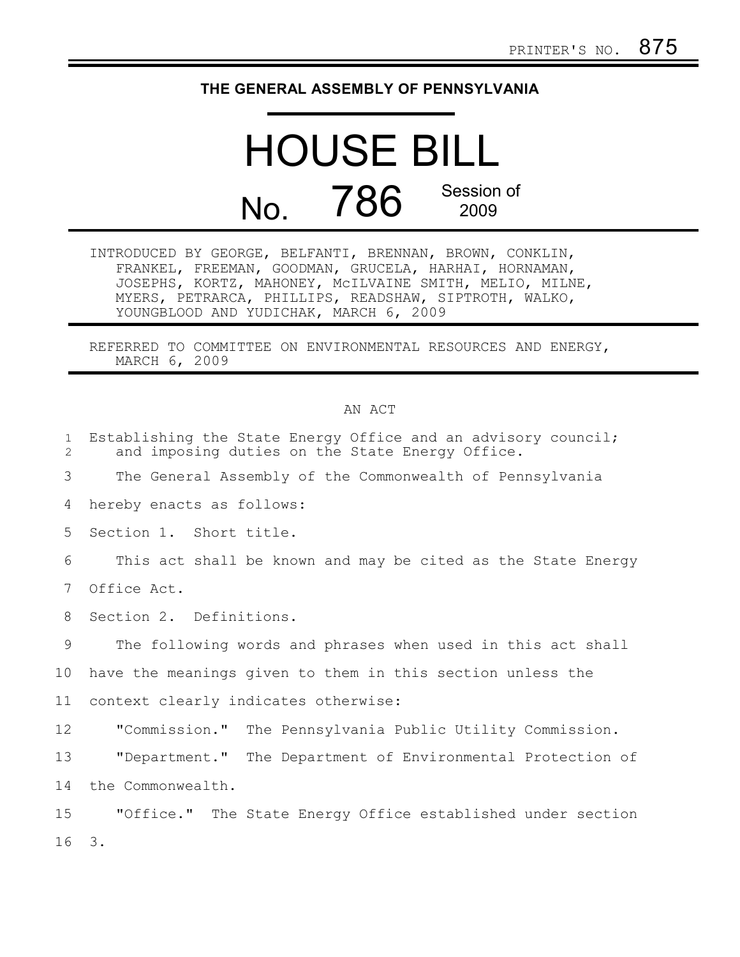## **THE GENERAL ASSEMBLY OF PENNSYLVANIA**

## HOUSE BILL No. 786 Session of 2009

INTRODUCED BY GEORGE, BELFANTI, BRENNAN, BROWN, CONKLIN, FRANKEL, FREEMAN, GOODMAN, GRUCELA, HARHAI, HORNAMAN, JOSEPHS, KORTZ, MAHONEY, McILVAINE SMITH, MELIO, MILNE, MYERS, PETRARCA, PHILLIPS, READSHAW, SIPTROTH, WALKO, YOUNGBLOOD AND YUDICHAK, MARCH 6, 2009

REFERRED TO COMMITTEE ON ENVIRONMENTAL RESOURCES AND ENERGY, MARCH 6, 2009

## AN ACT

| $\mathbf{1}$<br>$\overline{2}$ | Establishing the State Energy Office and an advisory council;<br>and imposing duties on the State Energy Office. |
|--------------------------------|------------------------------------------------------------------------------------------------------------------|
| 3                              | The General Assembly of the Commonwealth of Pennsylvania                                                         |
| 4                              | hereby enacts as follows:                                                                                        |
| 5                              | Section 1. Short title.                                                                                          |
| 6                              | This act shall be known and may be cited as the State Energy                                                     |
| $7\phantom{.0}$                | Office Act.                                                                                                      |
| 8                              | Section 2. Definitions.                                                                                          |
| 9                              | The following words and phrases when used in this act shall                                                      |
| 10                             | have the meanings given to them in this section unless the                                                       |
| 11                             | context clearly indicates otherwise:                                                                             |
| 12                             | "Commission." The Pennsylvania Public Utility Commission.                                                        |
| 13                             | "Department." The Department of Environmental Protection of                                                      |
| 14                             | the Commonwealth.                                                                                                |
| 15                             | "Office." The State Energy Office established under section                                                      |
| 16                             | 3.                                                                                                               |
|                                |                                                                                                                  |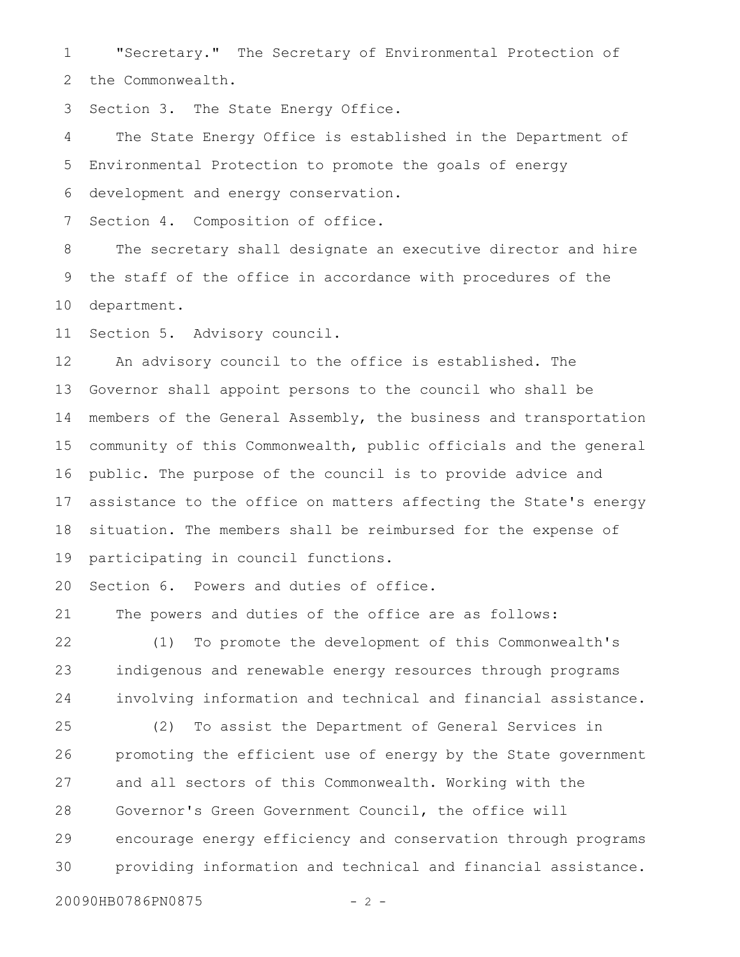"Secretary." The Secretary of Environmental Protection of 1

the Commonwealth. 2

Section 3. The State Energy Office. 3

The State Energy Office is established in the Department of Environmental Protection to promote the goals of energy development and energy conservation. 4 5 6

Section 4. Composition of office. 7

The secretary shall designate an executive director and hire the staff of the office in accordance with procedures of the department. 8 9 10

Section 5. Advisory council. 11

An advisory council to the office is established. The Governor shall appoint persons to the council who shall be members of the General Assembly, the business and transportation community of this Commonwealth, public officials and the general public. The purpose of the council is to provide advice and assistance to the office on matters affecting the State's energy situation. The members shall be reimbursed for the expense of participating in council functions. 12 13 14 15 16 17 18 19

Section 6. Powers and duties of office. 20

The powers and duties of the office are as follows: 21

(1) To promote the development of this Commonwealth's indigenous and renewable energy resources through programs involving information and technical and financial assistance. 22 23 24

(2) To assist the Department of General Services in promoting the efficient use of energy by the State government and all sectors of this Commonwealth. Working with the Governor's Green Government Council, the office will encourage energy efficiency and conservation through programs providing information and technical and financial assistance. 25 26 27 28 29 30

20090HB0786PN0875 - 2 -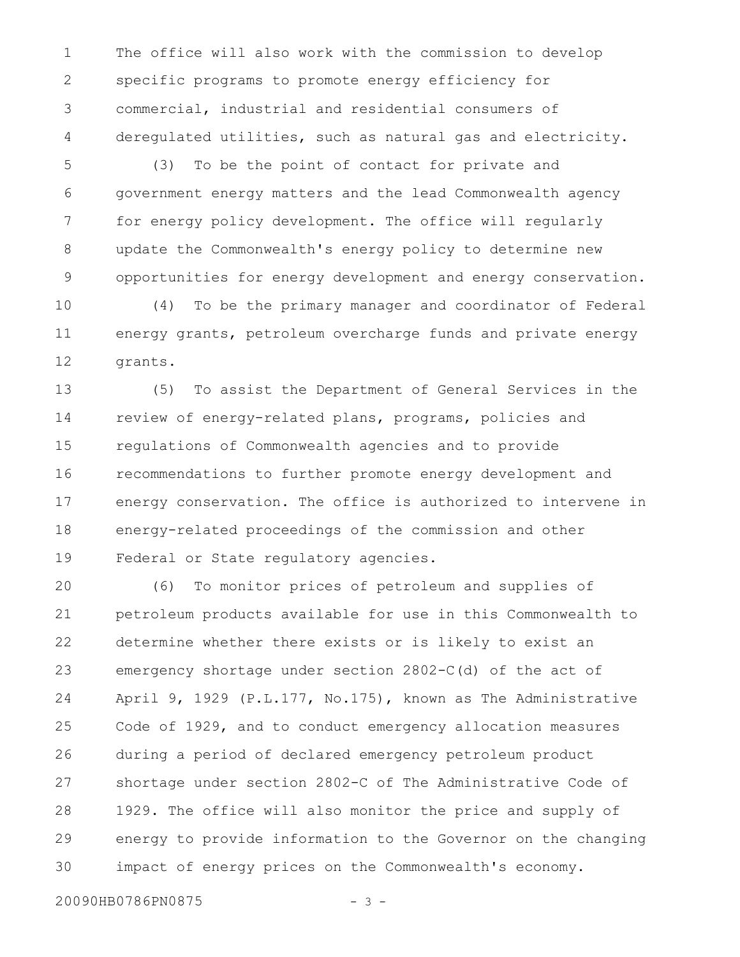The office will also work with the commission to develop specific programs to promote energy efficiency for commercial, industrial and residential consumers of deregulated utilities, such as natural gas and electricity. 1 2 3 4

(3) To be the point of contact for private and government energy matters and the lead Commonwealth agency for energy policy development. The office will regularly update the Commonwealth's energy policy to determine new opportunities for energy development and energy conservation. 5 6 7 8 9

(4) To be the primary manager and coordinator of Federal energy grants, petroleum overcharge funds and private energy grants. 10 11 12

(5) To assist the Department of General Services in the review of energy-related plans, programs, policies and regulations of Commonwealth agencies and to provide recommendations to further promote energy development and energy conservation. The office is authorized to intervene in energy-related proceedings of the commission and other Federal or State regulatory agencies. 13 14 15 16 17 18 19

(6) To monitor prices of petroleum and supplies of petroleum products available for use in this Commonwealth to determine whether there exists or is likely to exist an emergency shortage under section 2802-C(d) of the act of April 9, 1929 (P.L.177, No.175), known as The Administrative Code of 1929, and to conduct emergency allocation measures during a period of declared emergency petroleum product shortage under section 2802-C of The Administrative Code of 1929. The office will also monitor the price and supply of energy to provide information to the Governor on the changing impact of energy prices on the Commonwealth's economy. 20 21 22 23 24 25 26 27 28 29 30

20090HB0786PN0875 - 3 -